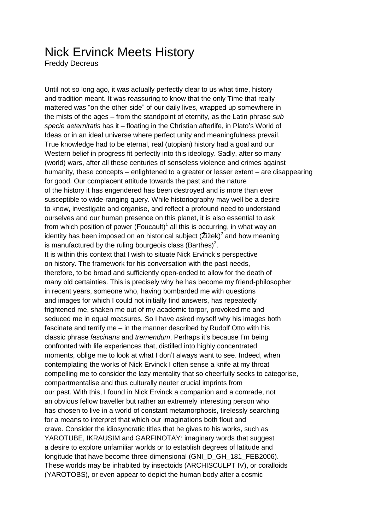## Nick Ervinck Meets History

Freddy Decreus

Until not so long ago, it was actually perfectly clear to us what time, history and tradition meant. It was reassuring to know that the only Time that really mattered was "on the other side" of our daily lives, wrapped up somewhere in the mists of the ages – from the standpoint of eternity, as the Latin phrase *sub specie aeternitatis* has it – floating in the Christian afterlife, in Plato's World of Ideas or in an ideal universe where perfect unity and meaningfulness prevail. True knowledge had to be eternal, real (utopian) history had a goal and our Western belief in progress fit perfectly into this ideology. Sadly, after so many (world) wars, after all these centuries of senseless violence and crimes against humanity, these concepts – enlightened to a greater or lesser extent – are disappearing for good. Our complacent attitude towards the past and the nature of the history it has engendered has been destroyed and is more than ever susceptible to wide-ranging query. While historiography may well be a desire to know, investigate and organise, and reflect a profound need to understand ourselves and our human presence on this planet, it is also essential to ask from which position of power (Foucault)<sup>1</sup> all this is occurring, in what way an identity has been imposed on an historical subject (Žižek)<sup>2</sup> and how meaning is manufactured by the ruling bourgeois class (Barthes)<sup>3</sup>. It is within this context that I wish to situate Nick Ervinck's perspective on history. The framework for his conversation with the past needs, therefore, to be broad and sufficiently open-ended to allow for the death of many old certainties. This is precisely why he has become my friend-philosopher in recent years, someone who, having bombarded me with questions and images for which I could not initially find answers, has repeatedly frightened me, shaken me out of my academic torpor, provoked me and seduced me in equal measures. So I have asked myself why his images both fascinate and terrify me – in the manner described by Rudolf Otto with his classic phrase *fascinans* and *tremendum*. Perhaps it's because I'm being confronted with life experiences that, distilled into highly concentrated moments, oblige me to look at what I don't always want to see. Indeed, when contemplating the works of Nick Ervinck I often sense a knife at my throat compelling me to consider the lazy mentality that so cheerfully seeks to categorise, compartmentalise and thus culturally neuter crucial imprints from our past. With this, I found in Nick Ervinck a companion and a comrade, not an obvious fellow traveller but rather an extremely interesting person who has chosen to live in a world of constant metamorphosis, tirelessly searching for a means to interpret that which our imaginations both flout and crave. Consider the idiosyncratic titles that he gives to his works, such as YAROTUBE, IKRAUSIM and GARFINOTAY: imaginary words that suggest a desire to explore unfamiliar worlds or to establish degrees of latitude and longitude that have become three-dimensional (GNI\_D\_GH\_181\_FEB2006). These worlds may be inhabited by insectoids (ARCHISCULPT IV), or coralloids (YAROTOBS), or even appear to depict the human body after a cosmic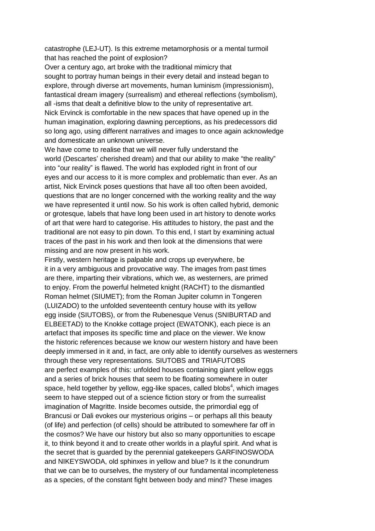catastrophe (LEJ-UT). Is this extreme metamorphosis or a mental turmoil that has reached the point of explosion?

Over a century ago, art broke with the traditional mimicry that sought to portray human beings in their every detail and instead began to explore, through diverse art movements, human luminism (impressionism), fantastical dream imagery (surrealism) and ethereal reflections (symbolism), all -isms that dealt a definitive blow to the unity of representative art. Nick Ervinck is comfortable in the new spaces that have opened up in the human imagination, exploring dawning perceptions, as his predecessors did so long ago, using different narratives and images to once again acknowledge and domesticate an unknown universe.

We have come to realise that we will never fully understand the world (Descartes' cherished dream) and that our ability to make "the reality" into "our reality" is flawed. The world has exploded right in front of our eyes and our access to it is more complex and problematic than ever. As an artist, Nick Ervinck poses questions that have all too often been avoided, questions that are no longer concerned with the working reality and the way we have represented it until now. So his work is often called hybrid, demonic or grotesque, labels that have long been used in art history to denote works of art that were hard to categorise. His attitudes to history, the past and the traditional are not easy to pin down. To this end, I start by examining actual traces of the past in his work and then look at the dimensions that were missing and are now present in his work.

Firstly, western heritage is palpable and crops up everywhere, be it in a very ambiguous and provocative way. The images from past times are there, imparting their vibrations, which we, as westerners, are primed to enjoy. From the powerful helmeted knight (RACHT) to the dismantled Roman helmet (SIUMET); from the Roman Jupiter column in Tongeren (LUIZADO) to the unfolded seventeenth century house with its yellow egg inside (SIUTOBS), or from the Rubenesque Venus (SNIBURTAD and ELBEETAD) to the Knokke cottage project (EWATONK), each piece is an artefact that imposes its specific time and place on the viewer. We know the historic references because we know our western history and have been deeply immersed in it and, in fact, are only able to identify ourselves as westerners through these very representations. SIUTOBS and TRIAFUTOBS are perfect examples of this: unfolded houses containing giant yellow eggs and a series of brick houses that seem to be floating somewhere in outer space, held together by yellow, egg-like spaces, called blobs<sup>4</sup>, which images seem to have stepped out of a science fiction story or from the surrealist imagination of Magritte. Inside becomes outside, the primordial egg of Brancusi or Dali evokes our mysterious origins – or perhaps all this beauty (of life) and perfection (of cells) should be attributed to somewhere far off in the cosmos? We have our history but also so many opportunities to escape it, to think beyond it and to create other worlds in a playful spirit. And what is the secret that is guarded by the perennial gatekeepers GARFINOSWODA and NIKEYSWODA, old sphinxes in yellow and blue? Is it the conundrum that we can be to ourselves, the mystery of our fundamental incompleteness as a species, of the constant fight between body and mind? These images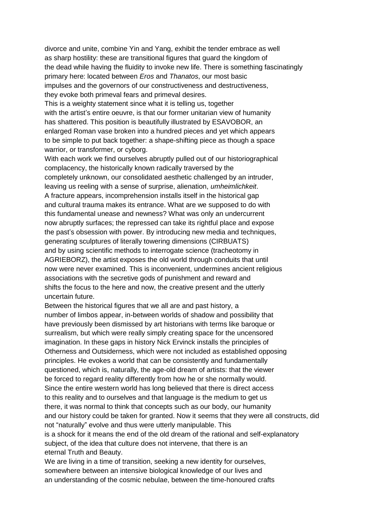divorce and unite, combine Yin and Yang, exhibit the tender embrace as well as sharp hostility: these are transitional figures that guard the kingdom of the dead while having the fluidity to invoke new life. There is something fascinatingly primary here: located between *Eros* and *Thanatos*, our most basic impulses and the governors of our constructiveness and destructiveness, they evoke both primeval fears and primeval desires.

This is a weighty statement since what it is telling us, together with the artist's entire oeuvre, is that our former unitarian view of humanity has shattered. This position is beautifully illustrated by ESAVOBOR, an enlarged Roman vase broken into a hundred pieces and yet which appears to be simple to put back together: a shape-shifting piece as though a space warrior, or transformer, or cyborg.

With each work we find ourselves abruptly pulled out of our historiographical complacency, the historically known radically traversed by the completely unknown, our consolidated aesthetic challenged by an intruder, leaving us reeling with a sense of surprise, alienation, *umheimlichkeit*. A fracture appears, incomprehension installs itself in the historical gap and cultural trauma makes its entrance. What are we supposed to do with this fundamental unease and newness? What was only an undercurrent now abruptly surfaces; the repressed can take its rightful place and expose the past's obsession with power. By introducing new media and techniques, generating sculptures of literally towering dimensions (CIRBUATS) and by using scientific methods to interrogate science (tracheotomy in AGRIEBORZ), the artist exposes the old world through conduits that until now were never examined. This is inconvenient, undermines ancient religious associations with the secretive gods of punishment and reward and shifts the focus to the here and now, the creative present and the utterly uncertain future.

Between the historical figures that we all are and past history, a number of limbos appear, in-between worlds of shadow and possibility that have previously been dismissed by art historians with terms like baroque or surrealism, but which were really simply creating space for the uncensored imagination. In these gaps in history Nick Ervinck installs the principles of Otherness and Outsiderness, which were not included as established opposing principles. He evokes a world that can be consistently and fundamentally questioned, which is, naturally, the age-old dream of artists: that the viewer be forced to regard reality differently from how he or she normally would. Since the entire western world has long believed that there is direct access to this reality and to ourselves and that language is the medium to get us there, it was normal to think that concepts such as our body, our humanity and our history could be taken for granted. Now it seems that they were all constructs, did not "naturally" evolve and thus were utterly manipulable. This is a shock for it means the end of the old dream of the rational and self-explanatory subject, of the idea that culture does not intervene, that there is an eternal Truth and Beauty.

We are living in a time of transition, seeking a new identity for ourselves, somewhere between an intensive biological knowledge of our lives and an understanding of the cosmic nebulae, between the time-honoured crafts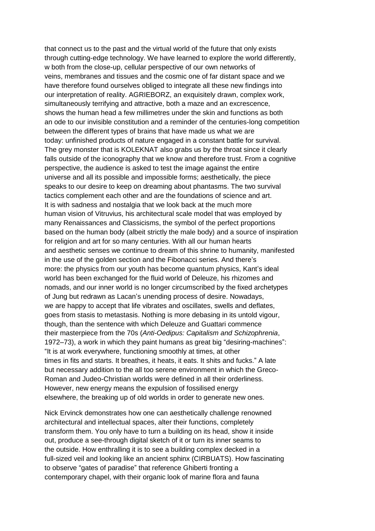that connect us to the past and the virtual world of the future that only exists through cutting-edge technology. We have learned to explore the world differently, w both from the close-up, cellular perspective of our own networks of veins, membranes and tissues and the cosmic one of far distant space and we have therefore found ourselves obliged to integrate all these new findings into our interpretation of reality. AGRIEBORZ, an exquisitely drawn, complex work, simultaneously terrifying and attractive, both a maze and an excrescence, shows the human head a few millimetres under the skin and functions as both an ode to our invisible constitution and a reminder of the centuries-long competition between the different types of brains that have made us what we are today: unfinished products of nature engaged in a constant battle for survival. The grey monster that is KOLEKNAT also grabs us by the throat since it clearly falls outside of the iconography that we know and therefore trust. From a cognitive perspective, the audience is asked to test the image against the entire universe and all its possible and impossible forms; aesthetically, the piece speaks to our desire to keep on dreaming about phantasms. The two survival tactics complement each other and are the foundations of science and art. It is with sadness and nostalgia that we look back at the much more human vision of Vitruvius, his architectural scale model that was employed by many Renaissances and Classicisms, the symbol of the perfect proportions based on the human body (albeit strictly the male body) and a source of inspiration for religion and art for so many centuries. With all our human hearts and aesthetic senses we continue to dream of this shrine to humanity, manifested in the use of the golden section and the Fibonacci series. And there's more: the physics from our youth has become quantum physics, Kant's ideal world has been exchanged for the fluid world of Deleuze, his rhizomes and nomads, and our inner world is no longer circumscribed by the fixed archetypes of Jung but redrawn as Lacan's unending process of desire. Nowadays, we are happy to accept that life vibrates and oscillates, swells and deflates, goes from stasis to metastasis. Nothing is more debasing in its untold vigour, though, than the sentence with which Deleuze and Guattari commence their masterpiece from the 70s (*Anti-Oedipus: Capitalism and Schizophrenia*, 1972–73), a work in which they paint humans as great big "desiring-machines": "It is at work everywhere, functioning smoothly at times, at other times in fits and starts. It breathes, it heats, it eats. It shits and fucks." A late but necessary addition to the all too serene environment in which the Greco-Roman and Judeo-Christian worlds were defined in all their orderliness. However, new energy means the expulsion of fossilised energy elsewhere, the breaking up of old worlds in order to generate new ones.

Nick Ervinck demonstrates how one can aesthetically challenge renowned architectural and intellectual spaces, alter their functions, completely transform them. You only have to turn a building on its head, show it inside out, produce a see-through digital sketch of it or turn its inner seams to the outside. How enthralling it is to see a building complex decked in a full-sized veil and looking like an ancient sphinx (CIRBUATS). How fascinating to observe "gates of paradise" that reference Ghiberti fronting a contemporary chapel, with their organic look of marine flora and fauna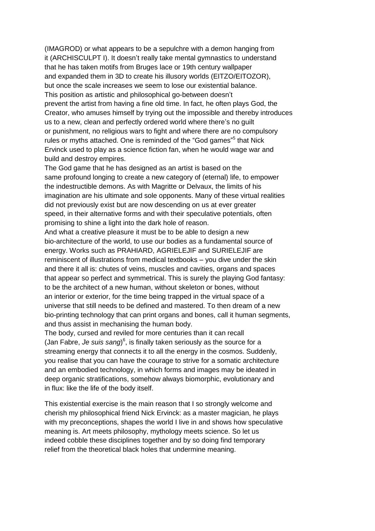(IMAGROD) or what appears to be a sepulchre with a demon hanging from it (ARCHISCULPT I). It doesn't really take mental gymnastics to understand that he has taken motifs from Bruges lace or 19th century wallpaper and expanded them in 3D to create his illusory worlds (EITZO/EITOZOR), but once the scale increases we seem to lose our existential balance. This position as artistic and philosophical go-between doesn't prevent the artist from having a fine old time. In fact, he often plays God, the Creator, who amuses himself by trying out the impossible and thereby introduces us to a new, clean and perfectly ordered world where there's no guilt or punishment, no religious wars to fight and where there are no compulsory rules or myths attached. One is reminded of the "God games"<sup>5</sup> that Nick Ervinck used to play as a science fiction fan, when he would wage war and build and destroy empires.

The God game that he has designed as an artist is based on the same profound longing to create a new category of (eternal) life, to empower the indestructible demons. As with Magritte or Delvaux, the limits of his imagination are his ultimate and sole opponents. Many of these virtual realities did not previously exist but are now descending on us at ever greater speed, in their alternative forms and with their speculative potentials, often promising to shine a light into the dark hole of reason.

And what a creative pleasure it must be to be able to design a new bio-architecture of the world, to use our bodies as a fundamental source of energy. Works such as PRAHIARD, AGRIELEJIF and SURIELEJIF are reminiscent of illustrations from medical textbooks – you dive under the skin and there it all is: chutes of veins, muscles and cavities, organs and spaces that appear so perfect and symmetrical. This is surely the playing God fantasy: to be the architect of a new human, without skeleton or bones, without an interior or exterior, for the time being trapped in the virtual space of a universe that still needs to be defined and mastered. To then dream of a new bio-printing technology that can print organs and bones, call it human segments, and thus assist in mechanising the human body.

The body, cursed and reviled for more centuries than it can recall (Jan Fabre, *Je suis sang*) 6 , is finally taken seriously as the source for a streaming energy that connects it to all the energy in the cosmos. Suddenly, you realise that you can have the courage to strive for a somatic architecture and an embodied technology, in which forms and images may be ideated in deep organic stratifications, somehow always biomorphic, evolutionary and in flux: like the life of the body itself.

This existential exercise is the main reason that I so strongly welcome and cherish my philosophical friend Nick Ervinck: as a master magician, he plays with my preconceptions, shapes the world I live in and shows how speculative meaning is. Art meets philosophy, mythology meets science. So let us indeed cobble these disciplines together and by so doing find temporary relief from the theoretical black holes that undermine meaning.